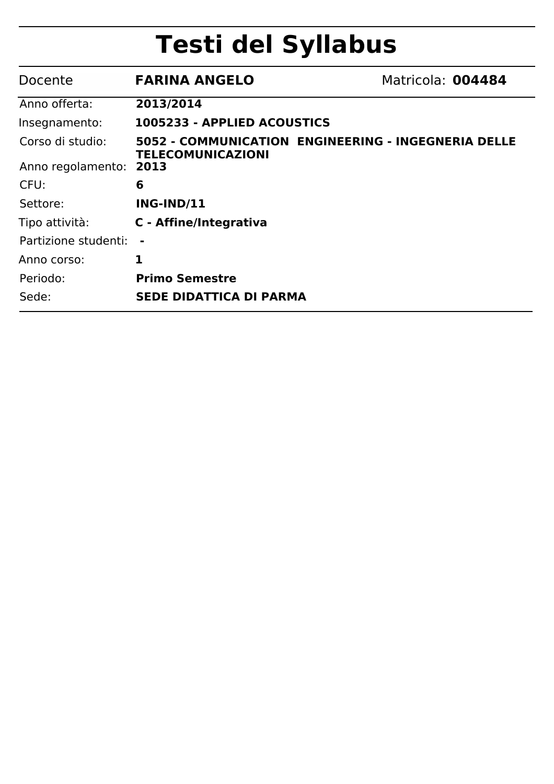## **Testi del Syllabus**

| Docente                | <b>FARINA ANGELO</b>                                                            | Matricola: 004484 |
|------------------------|---------------------------------------------------------------------------------|-------------------|
| Anno offerta:          | 2013/2014                                                                       |                   |
| Insegnamento:          | 1005233 - APPLIED ACOUSTICS                                                     |                   |
| Corso di studio:       | 5052 - COMMUNICATION ENGINEERING - INGEGNERIA DELLE<br><b>TELECOMUNICAZIONI</b> |                   |
| Anno regolamento: 2013 |                                                                                 |                   |
| CFU:                   | 6                                                                               |                   |
| Settore:               | <b>ING-IND/11</b>                                                               |                   |
| Tipo attività:         | C - Affine/Integrativa                                                          |                   |
| Partizione studenti:   |                                                                                 |                   |
| Anno corso:            | 1                                                                               |                   |
| Periodo:               | <b>Primo Semestre</b>                                                           |                   |
| Sede:                  | <b>SEDE DIDATTICA DI PARMA</b>                                                  |                   |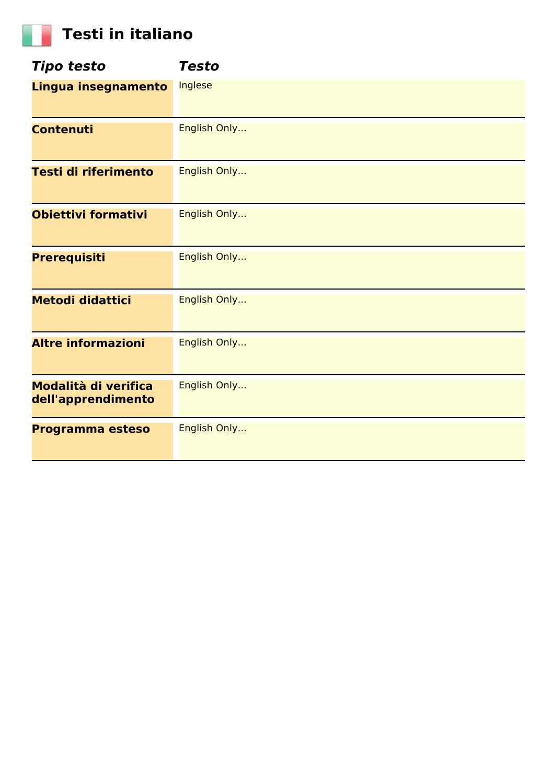## **Testi in italiano**

| <b>Tipo testo</b>                          | <b>Testo</b> |
|--------------------------------------------|--------------|
| Lingua insegnamento                        | Inglese      |
| <b>Contenuti</b>                           | English Only |
| Testi di riferimento                       | English Only |
| <b>Obiettivi formativi</b>                 | English Only |
| <b>Prerequisiti</b>                        | English Only |
| <b>Metodi didattici</b>                    | English Only |
| <b>Altre informazioni</b>                  | English Only |
| Modalità di verifica<br>dell'apprendimento | English Only |
| Programma esteso                           | English Only |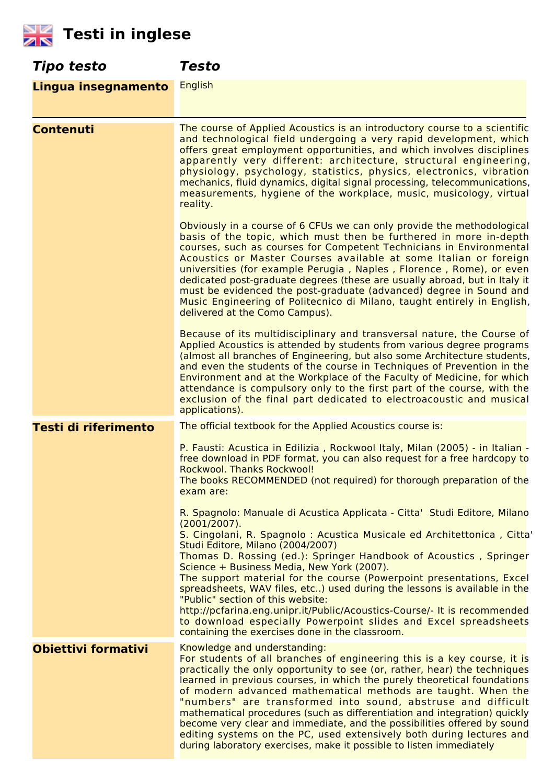

| Tipo testo                 | <b>Testo</b>                                                                                                                                                                                                                                                                                                                                                                                                                                                                                                                                                                                                                                                                                            |
|----------------------------|---------------------------------------------------------------------------------------------------------------------------------------------------------------------------------------------------------------------------------------------------------------------------------------------------------------------------------------------------------------------------------------------------------------------------------------------------------------------------------------------------------------------------------------------------------------------------------------------------------------------------------------------------------------------------------------------------------|
| Lingua insegnamento        | <b>English</b>                                                                                                                                                                                                                                                                                                                                                                                                                                                                                                                                                                                                                                                                                          |
| <b>Contenuti</b>           | The course of Applied Acoustics is an introductory course to a scientific<br>and technological field undergoing a very rapid development, which<br>offers great employment opportunities, and which involves disciplines<br>apparently very different: architecture, structural engineering,<br>physiology, psychology, statistics, physics, electronics, vibration<br>mechanics, fluid dynamics, digital signal processing, telecommunications,<br>measurements, hygiene of the workplace, music, musicology, virtual<br>reality.                                                                                                                                                                      |
|                            | Obviously in a course of 6 CFUs we can only provide the methodological<br>basis of the topic, which must then be furthered in more in-depth<br>courses, such as courses for Competent Technicians in Environmental<br>Acoustics or Master Courses available at some Italian or foreign<br>universities (for example Perugia, Naples, Florence, Rome), or even<br>dedicated post-graduate degrees (these are usually abroad, but in Italy it<br>must be evidenced the post-graduate (advanced) degree in Sound and<br>Music Engineering of Politecnico di Milano, taught entirely in English,<br>delivered at the Como Campus).                                                                          |
|                            | Because of its multidisciplinary and transversal nature, the Course of<br>Applied Acoustics is attended by students from various degree programs<br>(almost all branches of Engineering, but also some Architecture students,<br>and even the students of the course in Techniques of Prevention in the<br>Environment and at the Workplace of the Faculty of Medicine, for which<br>attendance is compulsory only to the first part of the course, with the<br>exclusion of the final part dedicated to electroacoustic and musical<br>applications).                                                                                                                                                  |
| Testi di riferimento       | The official textbook for the Applied Acoustics course is:                                                                                                                                                                                                                                                                                                                                                                                                                                                                                                                                                                                                                                              |
|                            | P. Fausti: Acustica in Edilizia, Rockwool Italy, Milan (2005) - in Italian -<br>free download in PDF format, you can also request for a free hardcopy to<br>Rockwool, Thanks Rockwool!<br>The books RECOMMENDED (not required) for thorough preparation of the<br>exam are:                                                                                                                                                                                                                                                                                                                                                                                                                             |
|                            | R. Spagnolo: Manuale di Acustica Applicata - Citta' Studi Editore, Milano<br>$(2001/2007)$ .<br>S. Cingolani, R. Spagnolo : Acustica Musicale ed Architettonica, Citta'                                                                                                                                                                                                                                                                                                                                                                                                                                                                                                                                 |
|                            | Studi Editore, Milano (2004/2007)<br>Thomas D. Rossing (ed.): Springer Handbook of Acoustics, Springer<br>Science + Business Media, New York (2007).<br>The support material for the course (Powerpoint presentations, Excel<br>spreadsheets, WAV files, etc) used during the lessons is available in the<br>"Public" section of this website:<br>http://pcfarina.eng.unipr.it/Public/Acoustics-Course/- It is recommended<br>to download especially Powerpoint slides and Excel spreadsheets<br>containing the exercises done in the classroom.                                                                                                                                                        |
| <b>Obiettivi formativi</b> | Knowledge and understanding:<br>For students of all branches of engineering this is a key course, it is<br>practically the only opportunity to see (or, rather, hear) the techniques<br>learned in previous courses, in which the purely theoretical foundations<br>of modern advanced mathematical methods are taught. When the<br>"numbers" are transformed into sound, abstruse and difficult<br>mathematical procedures (such as differentiation and integration) quickly<br>become very clear and immediate, and the possibilities offered by sound<br>editing systems on the PC, used extensively both during lectures and<br>during laboratory exercises, make it possible to listen immediately |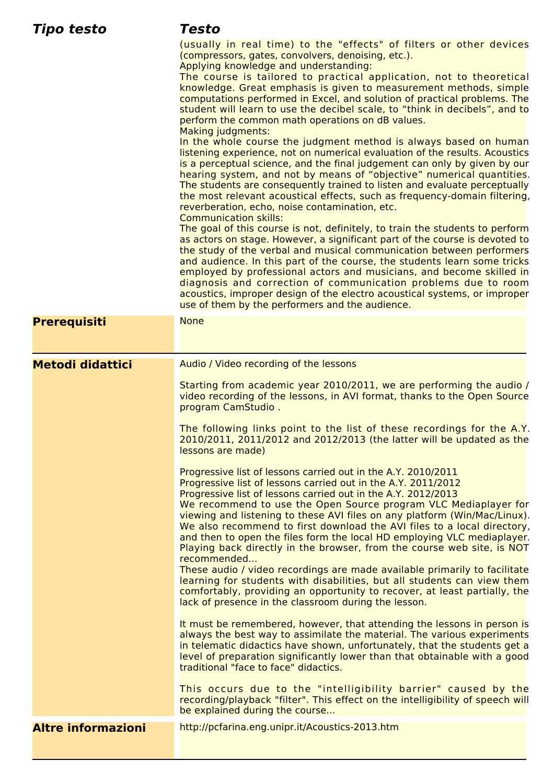| Tipo testo                | Testo                                                                                                                                                                                                                                                                                                                                                                                                                                                                                                                                                                                     |
|---------------------------|-------------------------------------------------------------------------------------------------------------------------------------------------------------------------------------------------------------------------------------------------------------------------------------------------------------------------------------------------------------------------------------------------------------------------------------------------------------------------------------------------------------------------------------------------------------------------------------------|
|                           | (usually in real time) to the "effects" of filters or other devices<br>(compressors, gates, convolvers, denoising, etc.).<br>Applying knowledge and understanding:                                                                                                                                                                                                                                                                                                                                                                                                                        |
|                           | The course is tailored to practical application, not to theoretical<br>knowledge. Great emphasis is given to measurement methods, simple<br>computations performed in Excel, and solution of practical problems. The<br>student will learn to use the decibel scale, to "think in decibels", and to<br>perform the common math operations on dB values.<br>Making judgments:                                                                                                                                                                                                              |
|                           | In the whole course the judgment method is always based on human<br>listening experience, not on numerical evaluation of the results. Acoustics<br>is a perceptual science, and the final judgement can only by given by our<br>hearing system, and not by means of "objective" numerical quantities.<br>The students are consequently trained to listen and evaluate perceptually<br>the most relevant acoustical effects, such as frequency-domain filtering,<br>reverberation, echo, noise contamination, etc.<br><b>Communication skills:</b>                                         |
|                           | The goal of this course is not, definitely, to train the students to perform<br>as actors on stage. However, a significant part of the course is devoted to<br>the study of the verbal and musical communication between performers<br>and audience. In this part of the course, the students learn some tricks<br>employed by professional actors and musicians, and become skilled in<br>diagnosis and correction of communication problems due to room<br>acoustics, improper design of the electro acoustical systems, or improper<br>use of them by the performers and the audience. |
| <b>Prerequisiti</b>       | <b>None</b>                                                                                                                                                                                                                                                                                                                                                                                                                                                                                                                                                                               |
| <b>Metodi didattici</b>   | Audio / Video recording of the lessons                                                                                                                                                                                                                                                                                                                                                                                                                                                                                                                                                    |
|                           | Starting from academic year 2010/2011, we are performing the audio /<br>video recording of the lessons, in AVI format, thanks to the Open Source<br>program CamStudio.                                                                                                                                                                                                                                                                                                                                                                                                                    |
|                           | The following links point to the list of these recordings for the A.Y.<br>2010/2011, 2011/2012 and 2012/2013 (the latter will be updated as the<br>lessons are made)                                                                                                                                                                                                                                                                                                                                                                                                                      |
|                           | Progressive list of lessons carried out in the A.Y. 2010/2011<br>Progressive list of lessons carried out in the A.Y. 2011/2012<br>Progressive list of lessons carried out in the A.Y. 2012/2013<br>We recommend to use the Open Source program VLC Mediaplayer for<br>viewing and listening to these AVI files on any platform (Win/Mac/Linux).<br>We also recommend to first download the AVI files to a local directory,<br>and then to open the files form the local HD employing VLC mediaplayer.<br>Playing back directly in the browser, from the course web site, is NOT           |
|                           | recommended<br>These audio / video recordings are made available primarily to facilitate<br>learning for students with disabilities, but all students can view them<br>comfortably, providing an opportunity to recover, at least partially, the<br>lack of presence in the classroom during the lesson.                                                                                                                                                                                                                                                                                  |
|                           | It must be remembered, however, that attending the lessons in person is<br>always the best way to assimilate the material. The various experiments<br>in telematic didactics have shown, unfortunately, that the students get a<br>level of preparation significantly lower than that obtainable with a good<br>traditional "face to face" didactics.                                                                                                                                                                                                                                     |
|                           | This occurs due to the "intelligibility barrier" caused by the<br>recording/playback "filter". This effect on the intelligibility of speech will<br>be explained during the course                                                                                                                                                                                                                                                                                                                                                                                                        |
| <b>Altre informazioni</b> | http://pcfarina.eng.unipr.it/Acoustics-2013.htm                                                                                                                                                                                                                                                                                                                                                                                                                                                                                                                                           |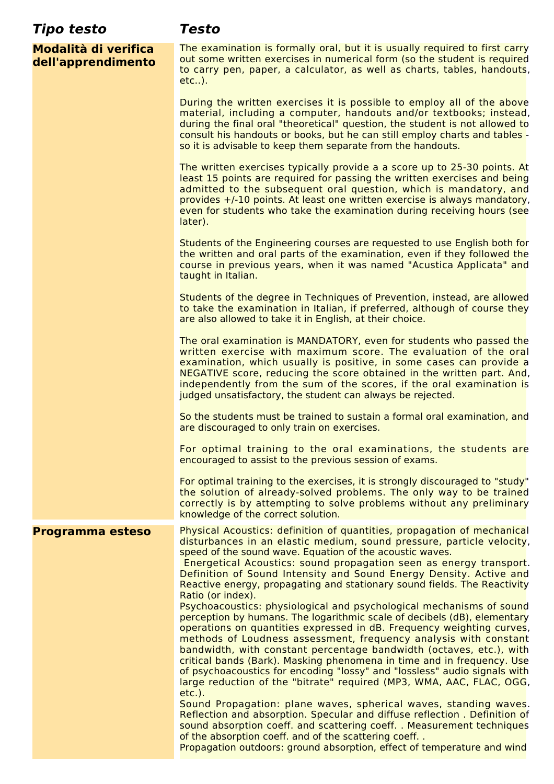| Tipo testo                                 | Testo                                                                                                                                                                                                                                                                                                                                                                                                                                                                                                                                                                                                                                                                                                                                                                                                                                                                                                                                                                                                                                                                                                                                                                                                                                                                                                                                                            |
|--------------------------------------------|------------------------------------------------------------------------------------------------------------------------------------------------------------------------------------------------------------------------------------------------------------------------------------------------------------------------------------------------------------------------------------------------------------------------------------------------------------------------------------------------------------------------------------------------------------------------------------------------------------------------------------------------------------------------------------------------------------------------------------------------------------------------------------------------------------------------------------------------------------------------------------------------------------------------------------------------------------------------------------------------------------------------------------------------------------------------------------------------------------------------------------------------------------------------------------------------------------------------------------------------------------------------------------------------------------------------------------------------------------------|
| Modalità di verifica<br>dell'apprendimento | The examination is formally oral, but it is usually required to first carry<br>out some written exercises in numerical form (so the student is required<br>to carry pen, paper, a calculator, as well as charts, tables, handouts,<br>$etc.$ .).                                                                                                                                                                                                                                                                                                                                                                                                                                                                                                                                                                                                                                                                                                                                                                                                                                                                                                                                                                                                                                                                                                                 |
|                                            | During the written exercises it is possible to employ all of the above<br>material, including a computer, handouts and/or textbooks; instead,<br>during the final oral "theoretical" question, the student is not allowed to<br>consult his handouts or books, but he can still employ charts and tables -<br>so it is advisable to keep them separate from the handouts.                                                                                                                                                                                                                                                                                                                                                                                                                                                                                                                                                                                                                                                                                                                                                                                                                                                                                                                                                                                        |
|                                            | The written exercises typically provide a a score up to 25-30 points. At<br>least 15 points are required for passing the written exercises and being<br>admitted to the subsequent oral question, which is mandatory, and<br>provides +/-10 points. At least one written exercise is always mandatory,<br>even for students who take the examination during receiving hours (see<br>later).                                                                                                                                                                                                                                                                                                                                                                                                                                                                                                                                                                                                                                                                                                                                                                                                                                                                                                                                                                      |
|                                            | Students of the Engineering courses are requested to use English both for<br>the written and oral parts of the examination, even if they followed the<br>course in previous years, when it was named "Acustica Applicata" and<br>taught in Italian.                                                                                                                                                                                                                                                                                                                                                                                                                                                                                                                                                                                                                                                                                                                                                                                                                                                                                                                                                                                                                                                                                                              |
|                                            | Students of the degree in Techniques of Prevention, instead, are allowed<br>to take the examination in Italian, if preferred, although of course they<br>are also allowed to take it in English, at their choice.                                                                                                                                                                                                                                                                                                                                                                                                                                                                                                                                                                                                                                                                                                                                                                                                                                                                                                                                                                                                                                                                                                                                                |
|                                            | The oral examination is MANDATORY, even for students who passed the<br>written exercise with maximum score. The evaluation of the oral<br>examination, which usually is positive, in some cases can provide a<br>NEGATIVE score, reducing the score obtained in the written part. And,<br>independently from the sum of the scores, if the oral examination is<br>judged unsatisfactory, the student can always be rejected.                                                                                                                                                                                                                                                                                                                                                                                                                                                                                                                                                                                                                                                                                                                                                                                                                                                                                                                                     |
|                                            | So the students must be trained to sustain a formal oral examination, and<br>are discouraged to only train on exercises.                                                                                                                                                                                                                                                                                                                                                                                                                                                                                                                                                                                                                                                                                                                                                                                                                                                                                                                                                                                                                                                                                                                                                                                                                                         |
|                                            | For optimal training to the oral examinations, the students are<br>encouraged to assist to the previous session of exams.                                                                                                                                                                                                                                                                                                                                                                                                                                                                                                                                                                                                                                                                                                                                                                                                                                                                                                                                                                                                                                                                                                                                                                                                                                        |
|                                            | For optimal training to the exercises, it is strongly discouraged to "study"<br>the solution of already-solved problems. The only way to be trained<br>correctly is by attempting to solve problems without any preliminary<br>knowledge of the correct solution.                                                                                                                                                                                                                                                                                                                                                                                                                                                                                                                                                                                                                                                                                                                                                                                                                                                                                                                                                                                                                                                                                                |
| Programma esteso                           | Physical Acoustics: definition of quantities, propagation of mechanical<br>disturbances in an elastic medium, sound pressure, particle velocity,<br>speed of the sound wave. Equation of the acoustic waves.<br>Energetical Acoustics: sound propagation seen as energy transport.<br>Definition of Sound Intensity and Sound Energy Density. Active and<br>Reactive energy, propagating and stationary sound fields. The Reactivity<br>Ratio (or index).<br>Psychoacoustics: physiological and psychological mechanisms of sound<br>perception by humans. The logarithmic scale of decibels (dB), elementary<br>operations on quantities expressed in dB. Frequency weighting curves,<br>methods of Loudness assessment, frequency analysis with constant<br>bandwidth, with constant percentage bandwidth (octaves, etc.), with<br>critical bands (Bark). Masking phenomena in time and in frequency. Use<br>of psychoacoustics for encoding "lossy" and "lossless" audio signals with<br>large reduction of the "bitrate" required (MP3, WMA, AAC, FLAC, OGG,<br>$etc.$ ).<br>Sound Propagation: plane waves, spherical waves, standing waves.<br>Reflection and absorption. Specular and diffuse reflection. Definition of<br>sound absorption coeff. and scattering coeff. . Measurement techniques<br>of the absorption coeff. and of the scattering coeff |
|                                            | Propagation outdoors: ground absorption, effect of temperature and wind                                                                                                                                                                                                                                                                                                                                                                                                                                                                                                                                                                                                                                                                                                                                                                                                                                                                                                                                                                                                                                                                                                                                                                                                                                                                                          |